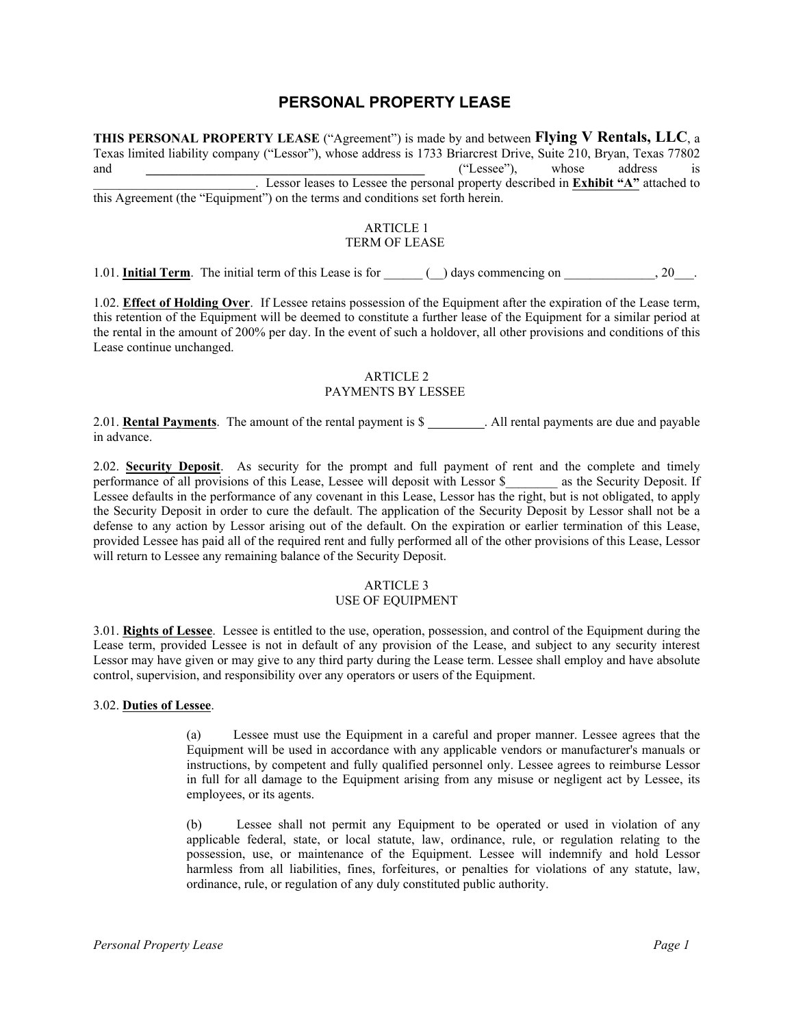# **PERSONAL PROPERTY LEASE**

**THIS PERSONAL PROPERTY LEASE** ("Agreement") is made by and between **Flying V Rentals, LLC**, a Texas limited liability company ("Lessor"), whose address is 1733 Briarcrest Drive, Suite 210, Bryan, Texas 77802 and **\_\_\_\_\_\_\_\_\_\_\_\_\_\_\_\_\_\_\_\_\_\_\_\_\_\_\_\_\_\_\_\_\_\_\_\_\_\_\_\_\_\_\_** ("Lessee"), whose address is \_\_\_\_\_\_\_\_\_\_\_\_\_\_\_\_\_\_\_\_\_\_\_\_\_. Lessor leases to Lessee the personal property described in **Exhibit "A"** attached to this Agreement (the "Equipment") on the terms and conditions set forth herein.

# ARTICLE 1

# TERM OF LEASE

1.01. **Initial Term**. The initial term of this Lease is for  $\qquad$  ( $\qquad$ ) days commencing on  $\qquad$ , 20.

1.02. **Effect of Holding Over**. If Lessee retains possession of the Equipment after the expiration of the Lease term, this retention of the Equipment will be deemed to constitute a further lease of the Equipment for a similar period at the rental in the amount of 200% per day. In the event of such a holdover, all other provisions and conditions of this Lease continue unchanged.

#### ARTICLE 2 PAYMENTS BY LESSEE

2.01. **Rental Payments**. The amount of the rental payment is \$ . All rental payments are due and payable in advance.

2.02. **Security Deposit**. As security for the prompt and full payment of rent and the complete and timely performance of all provisions of this Lease, Lessee will deposit with Lessor \$\_\_\_\_\_\_\_\_ as the Security Deposit. If Lessee defaults in the performance of any covenant in this Lease, Lessor has the right, but is not obligated, to apply the Security Deposit in order to cure the default. The application of the Security Deposit by Lessor shall not be a defense to any action by Lessor arising out of the default. On the expiration or earlier termination of this Lease, provided Lessee has paid all of the required rent and fully performed all of the other provisions of this Lease, Lessor will return to Lessee any remaining balance of the Security Deposit.

# ARTICLE 3

# USE OF EQUIPMENT

3.01. **Rights of Lessee**. Lessee is entitled to the use, operation, possession, and control of the Equipment during the Lease term, provided Lessee is not in default of any provision of the Lease, and subject to any security interest Lessor may have given or may give to any third party during the Lease term. Lessee shall employ and have absolute control, supervision, and responsibility over any operators or users of the Equipment.

# 3.02. **Duties of Lessee**.

(a) Lessee must use the Equipment in a careful and proper manner. Lessee agrees that the Equipment will be used in accordance with any applicable vendors or manufacturer's manuals or instructions, by competent and fully qualified personnel only. Lessee agrees to reimburse Lessor in full for all damage to the Equipment arising from any misuse or negligent act by Lessee, its employees, or its agents.

(b) Lessee shall not permit any Equipment to be operated or used in violation of any applicable federal, state, or local statute, law, ordinance, rule, or regulation relating to the possession, use, or maintenance of the Equipment. Lessee will indemnify and hold Lessor harmless from all liabilities, fines, forfeitures, or penalties for violations of any statute, law, ordinance, rule, or regulation of any duly constituted public authority.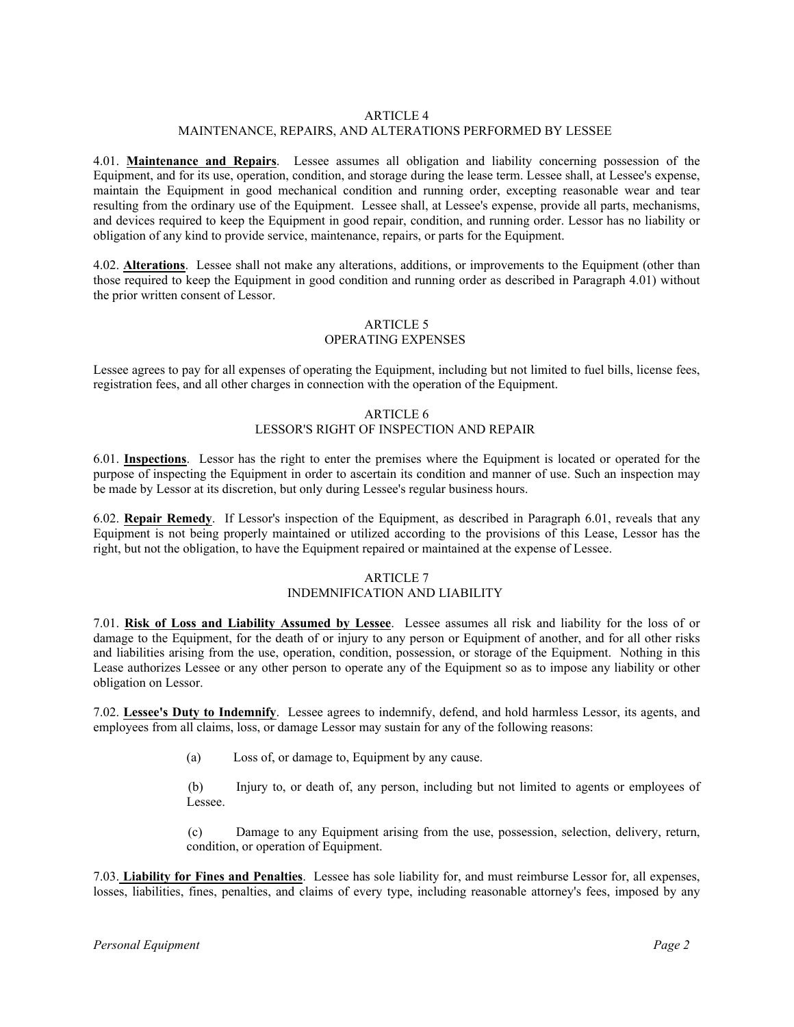#### ARTICLE 4

## MAINTENANCE, REPAIRS, AND ALTERATIONS PERFORMED BY LESSEE

4.01. **Maintenance and Repairs**. Lessee assumes all obligation and liability concerning possession of the Equipment, and for its use, operation, condition, and storage during the lease term. Lessee shall, at Lessee's expense, maintain the Equipment in good mechanical condition and running order, excepting reasonable wear and tear resulting from the ordinary use of the Equipment. Lessee shall, at Lessee's expense, provide all parts, mechanisms, and devices required to keep the Equipment in good repair, condition, and running order. Lessor has no liability or obligation of any kind to provide service, maintenance, repairs, or parts for the Equipment.

4.02. **Alterations**. Lessee shall not make any alterations, additions, or improvements to the Equipment (other than those required to keep the Equipment in good condition and running order as described in Paragraph 4.01) without the prior written consent of Lessor.

## ARTICLE 5 OPERATING EXPENSES

Lessee agrees to pay for all expenses of operating the Equipment, including but not limited to fuel bills, license fees, registration fees, and all other charges in connection with the operation of the Equipment.

# ARTICLE 6 LESSOR'S RIGHT OF INSPECTION AND REPAIR

6.01. **Inspections**. Lessor has the right to enter the premises where the Equipment is located or operated for the purpose of inspecting the Equipment in order to ascertain its condition and manner of use. Such an inspection may be made by Lessor at its discretion, but only during Lessee's regular business hours.

6.02. **Repair Remedy**. If Lessor's inspection of the Equipment, as described in Paragraph 6.01, reveals that any Equipment is not being properly maintained or utilized according to the provisions of this Lease, Lessor has the right, but not the obligation, to have the Equipment repaired or maintained at the expense of Lessee.

#### ARTICLE 7 INDEMNIFICATION AND LIABILITY

7.01. **Risk of Loss and Liability Assumed by Lessee**. Lessee assumes all risk and liability for the loss of or damage to the Equipment, for the death of or injury to any person or Equipment of another, and for all other risks and liabilities arising from the use, operation, condition, possession, or storage of the Equipment. Nothing in this Lease authorizes Lessee or any other person to operate any of the Equipment so as to impose any liability or other obligation on Lessor.

7.02. **Lessee's Duty to Indemnify**. Lessee agrees to indemnify, defend, and hold harmless Lessor, its agents, and employees from all claims, loss, or damage Lessor may sustain for any of the following reasons:

(a) Loss of, or damage to, Equipment by any cause.

(b) Injury to, or death of, any person, including but not limited to agents or employees of Lessee.

(c) Damage to any Equipment arising from the use, possession, selection, delivery, return, condition, or operation of Equipment.

7.03. **Liability for Fines and Penalties**. Lessee has sole liability for, and must reimburse Lessor for, all expenses, losses, liabilities, fines, penalties, and claims of every type, including reasonable attorney's fees, imposed by any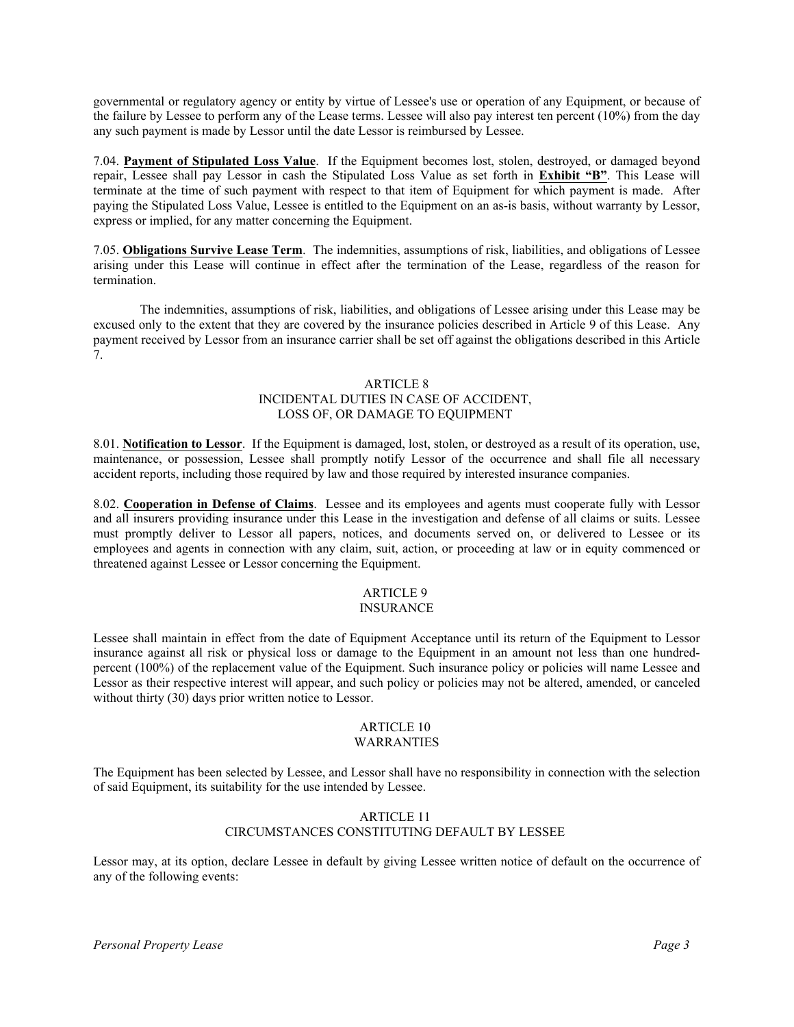governmental or regulatory agency or entity by virtue of Lessee's use or operation of any Equipment, or because of the failure by Lessee to perform any of the Lease terms. Lessee will also pay interest ten percent (10%) from the day any such payment is made by Lessor until the date Lessor is reimbursed by Lessee.

7.04. **Payment of Stipulated Loss Value**. If the Equipment becomes lost, stolen, destroyed, or damaged beyond repair, Lessee shall pay Lessor in cash the Stipulated Loss Value as set forth in **Exhibit "B"**. This Lease will terminate at the time of such payment with respect to that item of Equipment for which payment is made. After paying the Stipulated Loss Value, Lessee is entitled to the Equipment on an as-is basis, without warranty by Lessor, express or implied, for any matter concerning the Equipment.

7.05. **Obligations Survive Lease Term**. The indemnities, assumptions of risk, liabilities, and obligations of Lessee arising under this Lease will continue in effect after the termination of the Lease, regardless of the reason for termination.

The indemnities, assumptions of risk, liabilities, and obligations of Lessee arising under this Lease may be excused only to the extent that they are covered by the insurance policies described in Article 9 of this Lease. Any payment received by Lessor from an insurance carrier shall be set off against the obligations described in this Article 7.

## ARTICLE 8 INCIDENTAL DUTIES IN CASE OF ACCIDENT, LOSS OF, OR DAMAGE TO EQUIPMENT

8.01. **Notification to Lessor**. If the Equipment is damaged, lost, stolen, or destroyed as a result of its operation, use, maintenance, or possession, Lessee shall promptly notify Lessor of the occurrence and shall file all necessary accident reports, including those required by law and those required by interested insurance companies.

8.02. **Cooperation in Defense of Claims**. Lessee and its employees and agents must cooperate fully with Lessor and all insurers providing insurance under this Lease in the investigation and defense of all claims or suits. Lessee must promptly deliver to Lessor all papers, notices, and documents served on, or delivered to Lessee or its employees and agents in connection with any claim, suit, action, or proceeding at law or in equity commenced or threatened against Lessee or Lessor concerning the Equipment.

# ARTICLE 9

# INSURANCE

Lessee shall maintain in effect from the date of Equipment Acceptance until its return of the Equipment to Lessor insurance against all risk or physical loss or damage to the Equipment in an amount not less than one hundredpercent (100%) of the replacement value of the Equipment. Such insurance policy or policies will name Lessee and Lessor as their respective interest will appear, and such policy or policies may not be altered, amended, or canceled without thirty (30) days prior written notice to Lessor.

#### ARTICLE 10 WARRANTIES

The Equipment has been selected by Lessee, and Lessor shall have no responsibility in connection with the selection of said Equipment, its suitability for the use intended by Lessee.

#### ARTICLE 11 CIRCUMSTANCES CONSTITUTING DEFAULT BY LESSEE

Lessor may, at its option, declare Lessee in default by giving Lessee written notice of default on the occurrence of any of the following events: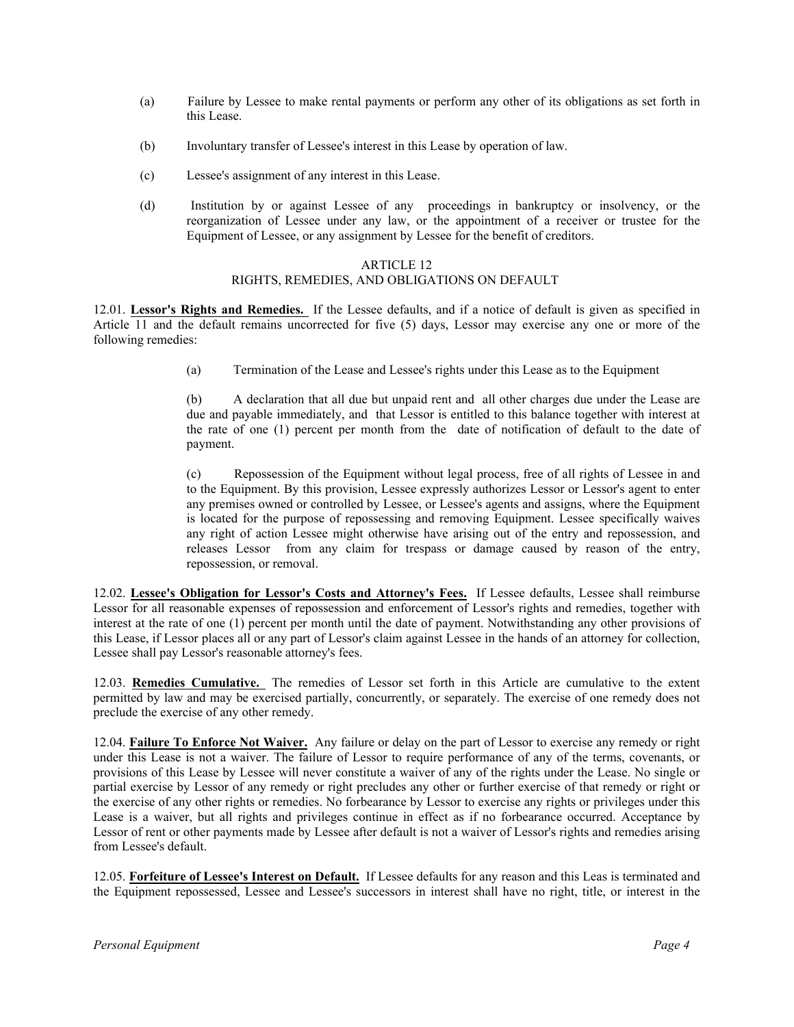- (a) Failure by Lessee to make rental payments or perform any other of its obligations as set forth in this Lease.
- (b) Involuntary transfer of Lessee's interest in this Lease by operation of law.
- (c) Lessee's assignment of any interest in this Lease.
- (d) Institution by or against Lessee of any proceedings in bankruptcy or insolvency, or the reorganization of Lessee under any law, or the appointment of a receiver or trustee for the Equipment of Lessee, or any assignment by Lessee for the benefit of creditors.

#### ARTICLE 12

# RIGHTS, REMEDIES, AND OBLIGATIONS ON DEFAULT

12.01. **Lessor's Rights and Remedies.** If the Lessee defaults, and if a notice of default is given as specified in Article 11 and the default remains uncorrected for five (5) days, Lessor may exercise any one or more of the following remedies:

(a) Termination of the Lease and Lessee's rights under this Lease as to the Equipment

(b) A declaration that all due but unpaid rent and all other charges due under the Lease are due and payable immediately, and that Lessor is entitled to this balance together with interest at the rate of one (1) percent per month from the date of notification of default to the date of payment.

(c) Repossession of the Equipment without legal process, free of all rights of Lessee in and to the Equipment. By this provision, Lessee expressly authorizes Lessor or Lessor's agent to enter any premises owned or controlled by Lessee, or Lessee's agents and assigns, where the Equipment is located for the purpose of repossessing and removing Equipment. Lessee specifically waives any right of action Lessee might otherwise have arising out of the entry and repossession, and releases Lessor from any claim for trespass or damage caused by reason of the entry, repossession, or removal.

12.02. **Lessee's Obligation for Lessor's Costs and Attorney's Fees.** If Lessee defaults, Lessee shall reimburse Lessor for all reasonable expenses of repossession and enforcement of Lessor's rights and remedies, together with interest at the rate of one (1) percent per month until the date of payment. Notwithstanding any other provisions of this Lease, if Lessor places all or any part of Lessor's claim against Lessee in the hands of an attorney for collection, Lessee shall pay Lessor's reasonable attorney's fees.

12.03. **Remedies Cumulative.** The remedies of Lessor set forth in this Article are cumulative to the extent permitted by law and may be exercised partially, concurrently, or separately. The exercise of one remedy does not preclude the exercise of any other remedy.

12.04. **Failure To Enforce Not Waiver.** Any failure or delay on the part of Lessor to exercise any remedy or right under this Lease is not a waiver. The failure of Lessor to require performance of any of the terms, covenants, or provisions of this Lease by Lessee will never constitute a waiver of any of the rights under the Lease. No single or partial exercise by Lessor of any remedy or right precludes any other or further exercise of that remedy or right or the exercise of any other rights or remedies. No forbearance by Lessor to exercise any rights or privileges under this Lease is a waiver, but all rights and privileges continue in effect as if no forbearance occurred. Acceptance by Lessor of rent or other payments made by Lessee after default is not a waiver of Lessor's rights and remedies arising from Lessee's default.

12.05. **Forfeiture of Lessee's Interest on Default.** If Lessee defaults for any reason and this Leas is terminated and the Equipment repossessed, Lessee and Lessee's successors in interest shall have no right, title, or interest in the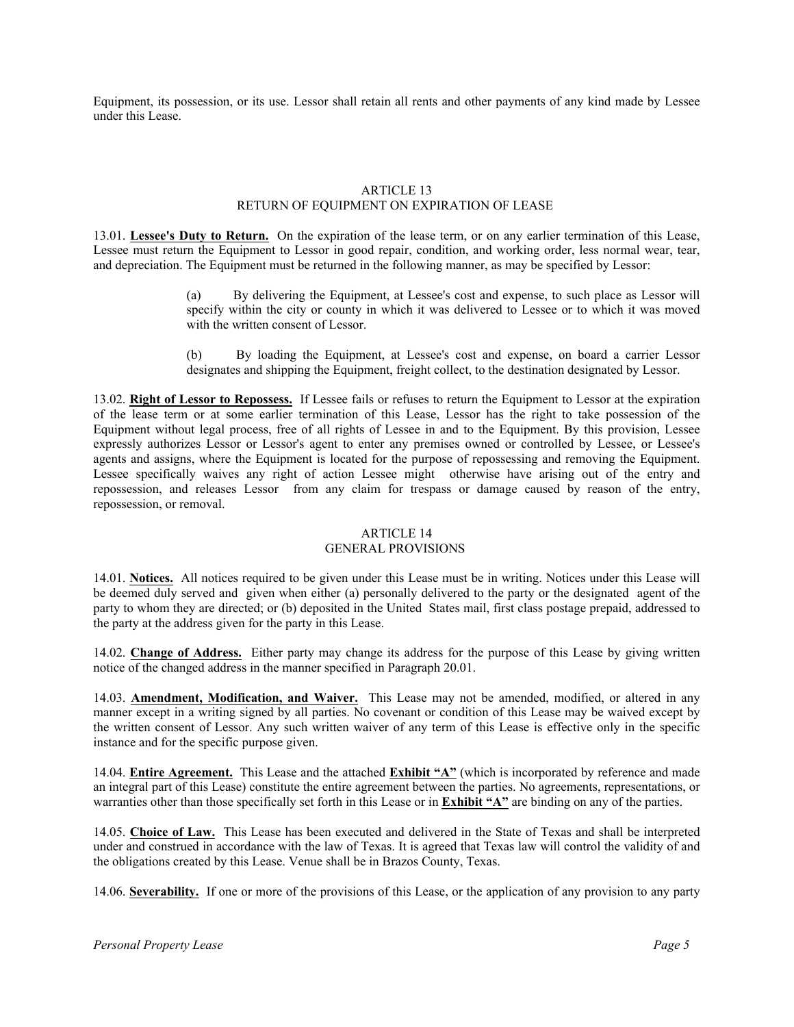Equipment, its possession, or its use. Lessor shall retain all rents and other payments of any kind made by Lessee under this Lease.

## ARTICLE 13 RETURN OF EQUIPMENT ON EXPIRATION OF LEASE

13.01. **Lessee's Duty to Return.** On the expiration of the lease term, or on any earlier termination of this Lease, Lessee must return the Equipment to Lessor in good repair, condition, and working order, less normal wear, tear, and depreciation. The Equipment must be returned in the following manner, as may be specified by Lessor:

> (a) By delivering the Equipment, at Lessee's cost and expense, to such place as Lessor will specify within the city or county in which it was delivered to Lessee or to which it was moved with the written consent of Lessor.

> (b) By loading the Equipment, at Lessee's cost and expense, on board a carrier Lessor designates and shipping the Equipment, freight collect, to the destination designated by Lessor.

13.02. **Right of Lessor to Repossess.** If Lessee fails or refuses to return the Equipment to Lessor at the expiration of the lease term or at some earlier termination of this Lease, Lessor has the right to take possession of the Equipment without legal process, free of all rights of Lessee in and to the Equipment. By this provision, Lessee expressly authorizes Lessor or Lessor's agent to enter any premises owned or controlled by Lessee, or Lessee's agents and assigns, where the Equipment is located for the purpose of repossessing and removing the Equipment. Lessee specifically waives any right of action Lessee might otherwise have arising out of the entry and repossession, and releases Lessor from any claim for trespass or damage caused by reason of the entry, repossession, or removal.

# ARTICLE 14

# GENERAL PROVISIONS

14.01. **Notices.** All notices required to be given under this Lease must be in writing. Notices under this Lease will be deemed duly served and given when either (a) personally delivered to the party or the designated agent of the party to whom they are directed; or (b) deposited in the United States mail, first class postage prepaid, addressed to the party at the address given for the party in this Lease.

14.02. **Change of Address.** Either party may change its address for the purpose of this Lease by giving written notice of the changed address in the manner specified in Paragraph 20.01.

14.03. **Amendment, Modification, and Waiver.** This Lease may not be amended, modified, or altered in any manner except in a writing signed by all parties. No covenant or condition of this Lease may be waived except by the written consent of Lessor. Any such written waiver of any term of this Lease is effective only in the specific instance and for the specific purpose given.

14.04. **Entire Agreement.** This Lease and the attached **Exhibit "A"** (which is incorporated by reference and made an integral part of this Lease) constitute the entire agreement between the parties. No agreements, representations, or warranties other than those specifically set forth in this Lease or in **Exhibit "A"** are binding on any of the parties.

14.05. **Choice of Law.** This Lease has been executed and delivered in the State of Texas and shall be interpreted under and construed in accordance with the law of Texas. It is agreed that Texas law will control the validity of and the obligations created by this Lease. Venue shall be in Brazos County, Texas.

14.06. **Severability.** If one or more of the provisions of this Lease, or the application of any provision to any party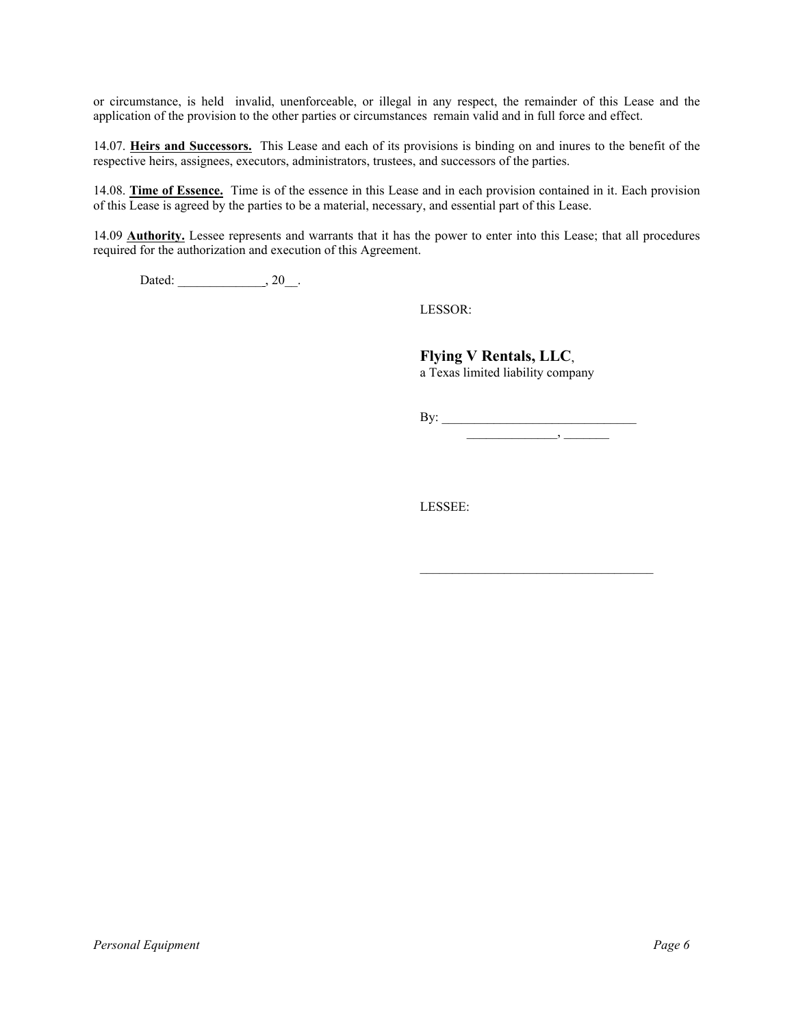or circumstance, is held invalid, unenforceable, or illegal in any respect, the remainder of this Lease and the application of the provision to the other parties or circumstances remain valid and in full force and effect.

14.07. **Heirs and Successors.** This Lease and each of its provisions is binding on and inures to the benefit of the respective heirs, assignees, executors, administrators, trustees, and successors of the parties.

14.08. **Time of Essence.** Time is of the essence in this Lease and in each provision contained in it. Each provision of this Lease is agreed by the parties to be a material, necessary, and essential part of this Lease.

14.09 **Authority.** Lessee represents and warrants that it has the power to enter into this Lease; that all procedures required for the authorization and execution of this Agreement.

Dated: \_\_\_\_\_\_\_\_\_\_\_\_\_\_\_\_\_, 20\_\_\_.

LESSOR:

# **Flying V Rentals, LLC**, a Texas limited liability company

By: \_\_\_\_\_\_\_\_\_\_\_\_\_\_\_\_\_\_\_\_\_\_\_\_\_\_\_\_\_\_  $\frac{1}{2}$ 

 $\mathcal{L}_\text{max}$  , where  $\mathcal{L}_\text{max}$  and  $\mathcal{L}_\text{max}$  and  $\mathcal{L}_\text{max}$ 

LESSEE: